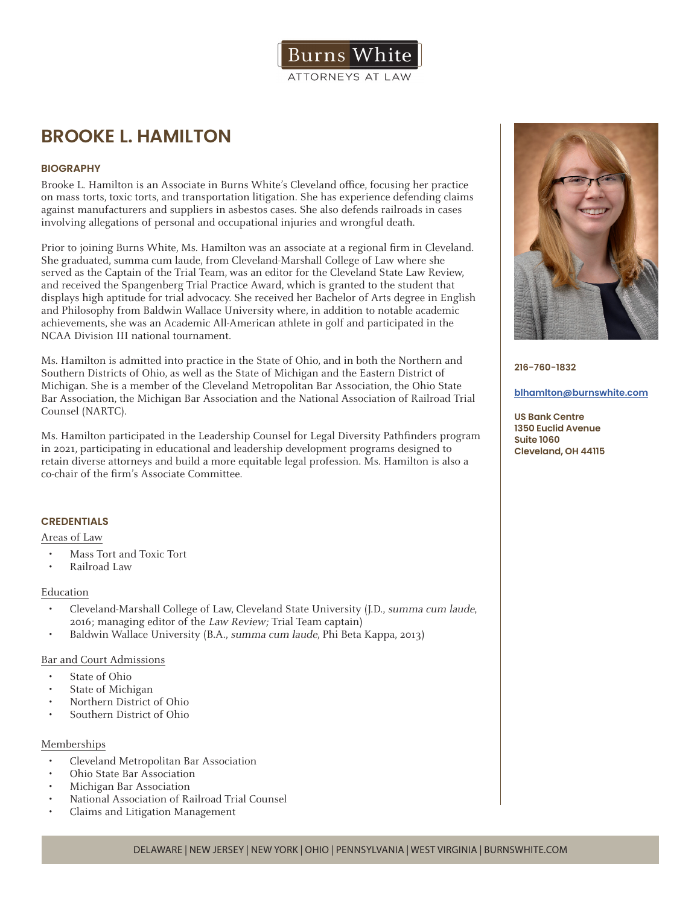

# **BROOKE L. HAMILTON**

## **BIOGRAPHY**

Brooke L. Hamilton is an Associate in Burns White's Cleveland office, focusing her practice on mass torts, toxic torts, and transportation litigation. She has experience defending claims against manufacturers and suppliers in asbestos cases. She also defends railroads in cases involving allegations of personal and occupational injuries and wrongful death.

Prior to joining Burns White, Ms. Hamilton was an associate at a regional firm in Cleveland. She graduated, summa cum laude, from Cleveland-Marshall College of Law where she served as the Captain of the Trial Team, was an editor for the Cleveland State Law Review, and received the Spangenberg Trial Practice Award, which is granted to the student that displays high aptitude for trial advocacy. She received her Bachelor of Arts degree in English and Philosophy from Baldwin Wallace University where, in addition to notable academic achievements, she was an Academic All-American athlete in golf and participated in the NCAA Division III national tournament.

Ms. Hamilton is admitted into practice in the State of Ohio, and in both the Northern and Southern Districts of Ohio, as well as the State of Michigan and the Eastern District of Michigan. She is a member of the Cleveland Metropolitan Bar Association, the Ohio State Bar Association, the Michigan Bar Association and the National Association of Railroad Trial Counsel (NARTC).

Ms. Hamilton participated in the Leadership Counsel for Legal Diversity Pathfinders program in 2021, participating in educational and leadership development programs designed to retain diverse attorneys and build a more equitable legal profession. Ms. Hamilton is also a co-chair of the firm's Associate Committee.

## **CREDENTIALS**

#### Areas of Law

- Mass Tort and Toxic Tort
- Railroad Law

#### Education

- Cleveland-Marshall College of Law, Cleveland State University (J.D., summa cum laude, 2016; managing editor of the Law Review; Trial Team captain)
- Baldwin Wallace University (B.A., summa cum laude, Phi Beta Kappa, 2013)

### Bar and Court Admissions

- State of Ohio
- State of Michigan
- Northern District of Ohio
- Southern District of Ohio

#### Memberships

- Cleveland Metropolitan Bar Association
- Ohio State Bar Association
- Michigan Bar Association
- National Association of Railroad Trial Counsel
- Claims and Litigation Management



**216-760-1832**

#### **blhamlton@burnswhite.com**

**US Bank Centre 1350 Euclid Avenue Suite 1060 Cleveland, OH 44115**